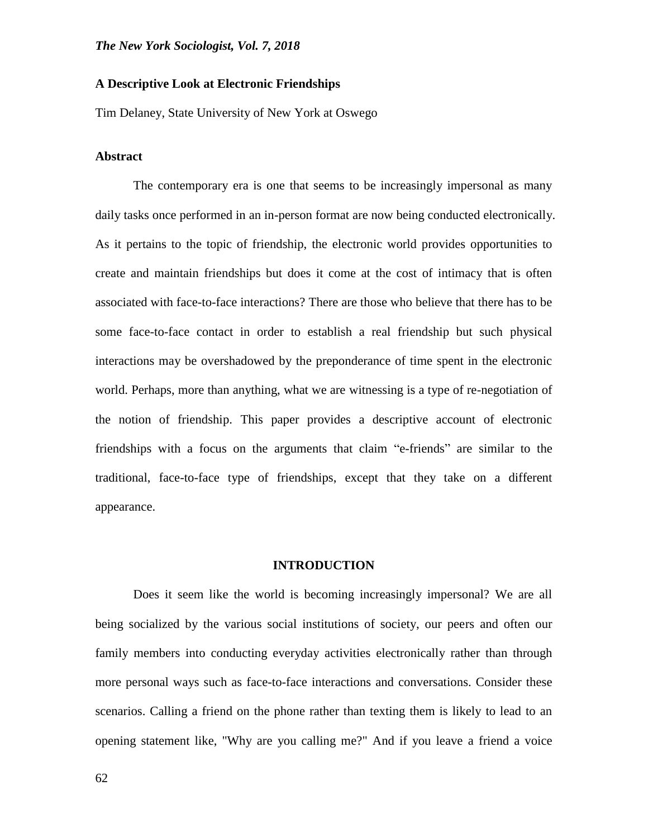### **A Descriptive Look at Electronic Friendships**

Tim Delaney, State University of New York at Oswego

#### **Abstract**

The contemporary era is one that seems to be increasingly impersonal as many daily tasks once performed in an in-person format are now being conducted electronically. As it pertains to the topic of friendship, the electronic world provides opportunities to create and maintain friendships but does it come at the cost of intimacy that is often associated with face-to-face interactions? There are those who believe that there has to be some face-to-face contact in order to establish a real friendship but such physical interactions may be overshadowed by the preponderance of time spent in the electronic world. Perhaps, more than anything, what we are witnessing is a type of re-negotiation of the notion of friendship. This paper provides a descriptive account of electronic friendships with a focus on the arguments that claim "e-friends" are similar to the traditional, face-to-face type of friendships, except that they take on a different appearance.

## **INTRODUCTION**

Does it seem like the world is becoming increasingly impersonal? We are all being socialized by the various social institutions of society, our peers and often our family members into conducting everyday activities electronically rather than through more personal ways such as face-to-face interactions and conversations. Consider these scenarios. Calling a friend on the phone rather than texting them is likely to lead to an opening statement like, "Why are you calling me?" And if you leave a friend a voice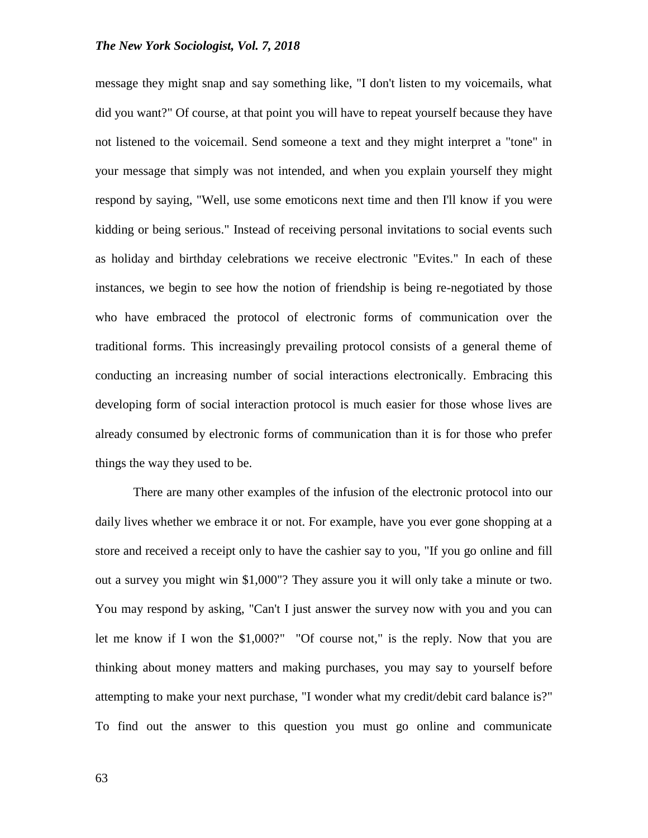message they might snap and say something like, "I don't listen to my voicemails, what did you want?" Of course, at that point you will have to repeat yourself because they have not listened to the voicemail. Send someone a text and they might interpret a "tone" in your message that simply was not intended, and when you explain yourself they might respond by saying, "Well, use some emoticons next time and then I'll know if you were kidding or being serious." Instead of receiving personal invitations to social events such as holiday and birthday celebrations we receive electronic "Evites." In each of these instances, we begin to see how the notion of friendship is being re-negotiated by those who have embraced the protocol of electronic forms of communication over the traditional forms. This increasingly prevailing protocol consists of a general theme of conducting an increasing number of social interactions electronically. Embracing this developing form of social interaction protocol is much easier for those whose lives are already consumed by electronic forms of communication than it is for those who prefer things the way they used to be.

There are many other examples of the infusion of the electronic protocol into our daily lives whether we embrace it or not. For example, have you ever gone shopping at a store and received a receipt only to have the cashier say to you, "If you go online and fill out a survey you might win \$1,000"? They assure you it will only take a minute or two. You may respond by asking, "Can't I just answer the survey now with you and you can let me know if I won the \$1,000?" "Of course not," is the reply. Now that you are thinking about money matters and making purchases, you may say to yourself before attempting to make your next purchase, "I wonder what my credit/debit card balance is?" To find out the answer to this question you must go online and communicate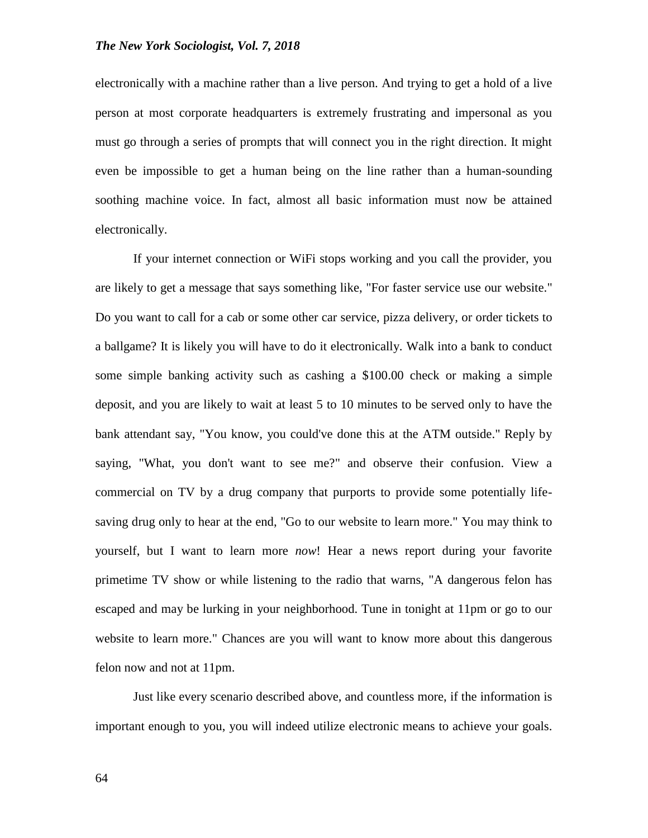electronically with a machine rather than a live person. And trying to get a hold of a live person at most corporate headquarters is extremely frustrating and impersonal as you must go through a series of prompts that will connect you in the right direction. It might even be impossible to get a human being on the line rather than a human-sounding soothing machine voice. In fact, almost all basic information must now be attained electronically.

If your internet connection or WiFi stops working and you call the provider, you are likely to get a message that says something like, "For faster service use our website." Do you want to call for a cab or some other car service, pizza delivery, or order tickets to a ballgame? It is likely you will have to do it electronically. Walk into a bank to conduct some simple banking activity such as cashing a \$100.00 check or making a simple deposit, and you are likely to wait at least 5 to 10 minutes to be served only to have the bank attendant say, "You know, you could've done this at the ATM outside." Reply by saying, "What, you don't want to see me?" and observe their confusion. View a commercial on TV by a drug company that purports to provide some potentially lifesaving drug only to hear at the end, "Go to our website to learn more." You may think to yourself, but I want to learn more *now*! Hear a news report during your favorite primetime TV show or while listening to the radio that warns, "A dangerous felon has escaped and may be lurking in your neighborhood. Tune in tonight at 11pm or go to our website to learn more." Chances are you will want to know more about this dangerous felon now and not at 11pm.

Just like every scenario described above, and countless more, if the information is important enough to you, you will indeed utilize electronic means to achieve your goals.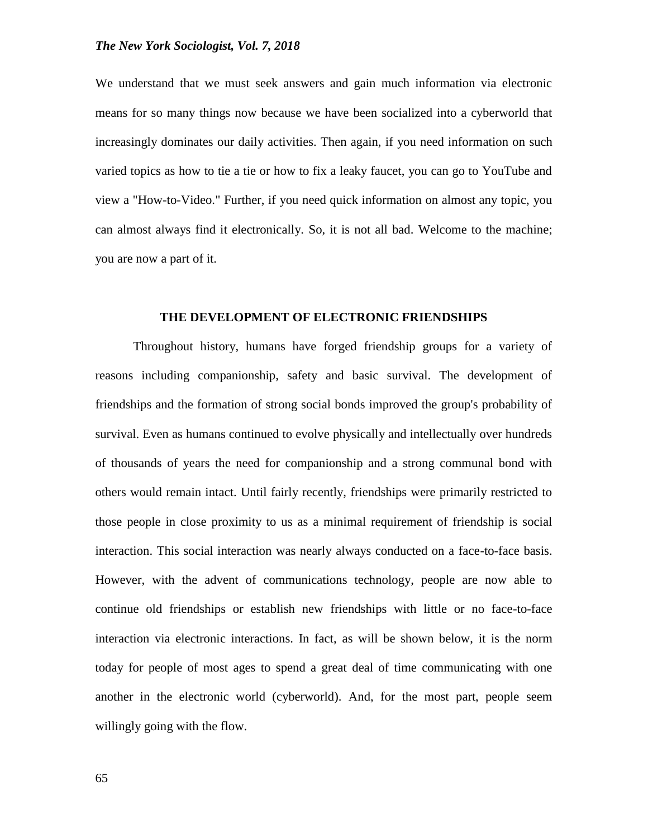We understand that we must seek answers and gain much information via electronic means for so many things now because we have been socialized into a cyberworld that increasingly dominates our daily activities. Then again, if you need information on such varied topics as how to tie a tie or how to fix a leaky faucet, you can go to YouTube and view a "How-to-Video." Further, if you need quick information on almost any topic, you can almost always find it electronically. So, it is not all bad. Welcome to the machine; you are now a part of it.

#### **THE DEVELOPMENT OF ELECTRONIC FRIENDSHIPS**

Throughout history, humans have forged friendship groups for a variety of reasons including companionship, safety and basic survival. The development of friendships and the formation of strong social bonds improved the group's probability of survival. Even as humans continued to evolve physically and intellectually over hundreds of thousands of years the need for companionship and a strong communal bond with others would remain intact. Until fairly recently, friendships were primarily restricted to those people in close proximity to us as a minimal requirement of friendship is social interaction. This social interaction was nearly always conducted on a face-to-face basis. However, with the advent of communications technology, people are now able to continue old friendships or establish new friendships with little or no face-to-face interaction via electronic interactions. In fact, as will be shown below, it is the norm today for people of most ages to spend a great deal of time communicating with one another in the electronic world (cyberworld). And, for the most part, people seem willingly going with the flow.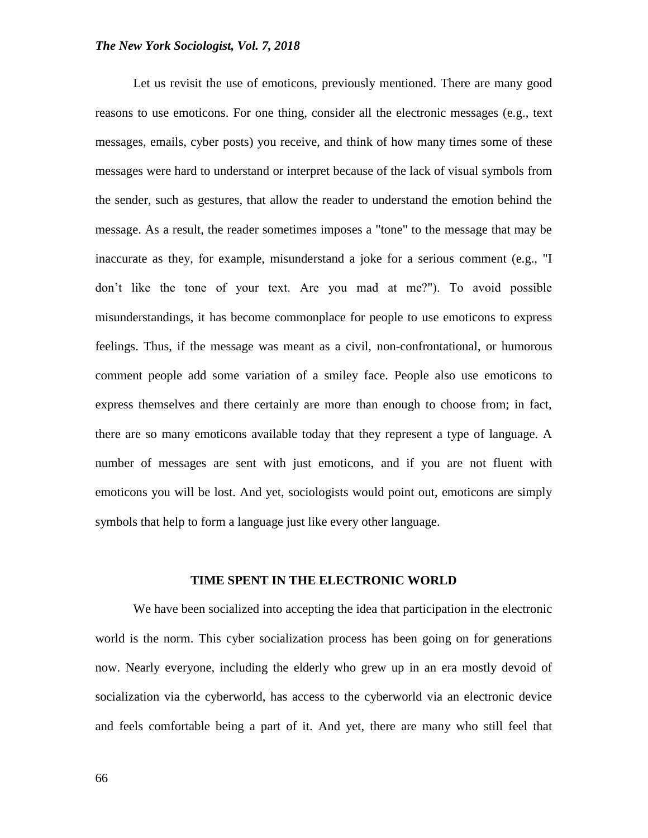Let us revisit the use of emoticons, previously mentioned. There are many good reasons to use emoticons. For one thing, consider all the electronic messages (e.g., text messages, emails, cyber posts) you receive, and think of how many times some of these messages were hard to understand or interpret because of the lack of visual symbols from the sender, such as gestures, that allow the reader to understand the emotion behind the message. As a result, the reader sometimes imposes a "tone" to the message that may be inaccurate as they, for example, misunderstand a joke for a serious comment (e.g., "I don't like the tone of your text. Are you mad at me?"). To avoid possible misunderstandings, it has become commonplace for people to use emoticons to express feelings. Thus, if the message was meant as a civil, non-confrontational, or humorous comment people add some variation of a smiley face. People also use emoticons to express themselves and there certainly are more than enough to choose from; in fact, there are so many emoticons available today that they represent a type of language. A number of messages are sent with just emoticons, and if you are not fluent with emoticons you will be lost. And yet, sociologists would point out, emoticons are simply symbols that help to form a language just like every other language.

#### **TIME SPENT IN THE ELECTRONIC WORLD**

We have been socialized into accepting the idea that participation in the electronic world is the norm. This cyber socialization process has been going on for generations now. Nearly everyone, including the elderly who grew up in an era mostly devoid of socialization via the cyberworld, has access to the cyberworld via an electronic device and feels comfortable being a part of it. And yet, there are many who still feel that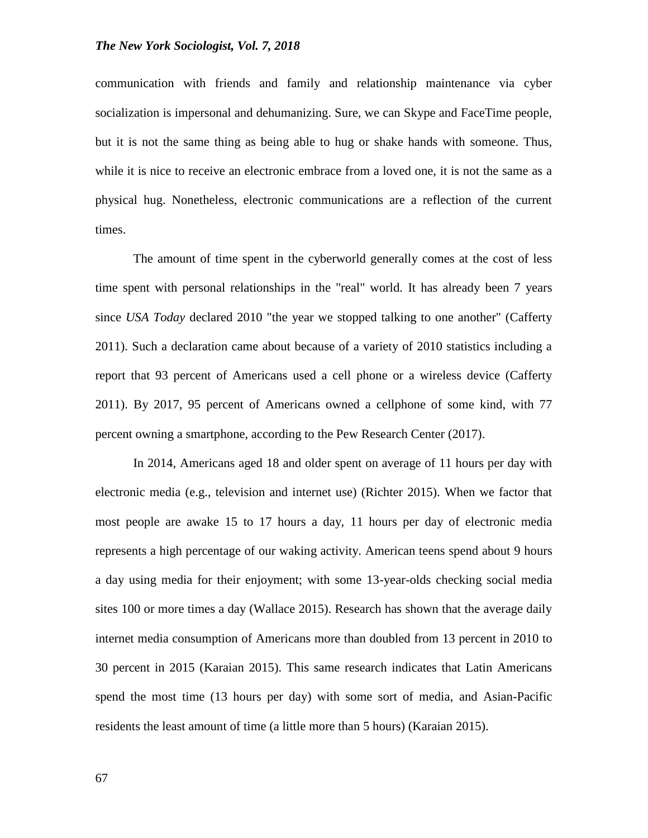communication with friends and family and relationship maintenance via cyber socialization is impersonal and dehumanizing. Sure, we can Skype and FaceTime people, but it is not the same thing as being able to hug or shake hands with someone. Thus, while it is nice to receive an electronic embrace from a loved one, it is not the same as a physical hug. Nonetheless, electronic communications are a reflection of the current times.

The amount of time spent in the cyberworld generally comes at the cost of less time spent with personal relationships in the "real" world. It has already been 7 years since *USA Today* declared 2010 "the year we stopped talking to one another" (Cafferty 2011). Such a declaration came about because of a variety of 2010 statistics including a report that 93 percent of Americans used a cell phone or a wireless device (Cafferty 2011). By 2017, 95 percent of Americans owned a cellphone of some kind, with 77 percent owning a smartphone, according to the Pew Research Center (2017).

In 2014, Americans aged 18 and older spent on average of 11 hours per day with electronic media (e.g., television and internet use) (Richter 2015). When we factor that most people are awake 15 to 17 hours a day, 11 hours per day of electronic media represents a high percentage of our waking activity. American teens spend about 9 hours a day using media for their enjoyment; with some 13-year-olds checking social media sites 100 or more times a day (Wallace 2015). Research has shown that the average daily internet media consumption of Americans more than doubled from 13 percent in 2010 to 30 percent in 2015 (Karaian 2015). This same research indicates that Latin Americans spend the most time (13 hours per day) with some sort of media, and Asian-Pacific residents the least amount of time (a little more than 5 hours) (Karaian 2015).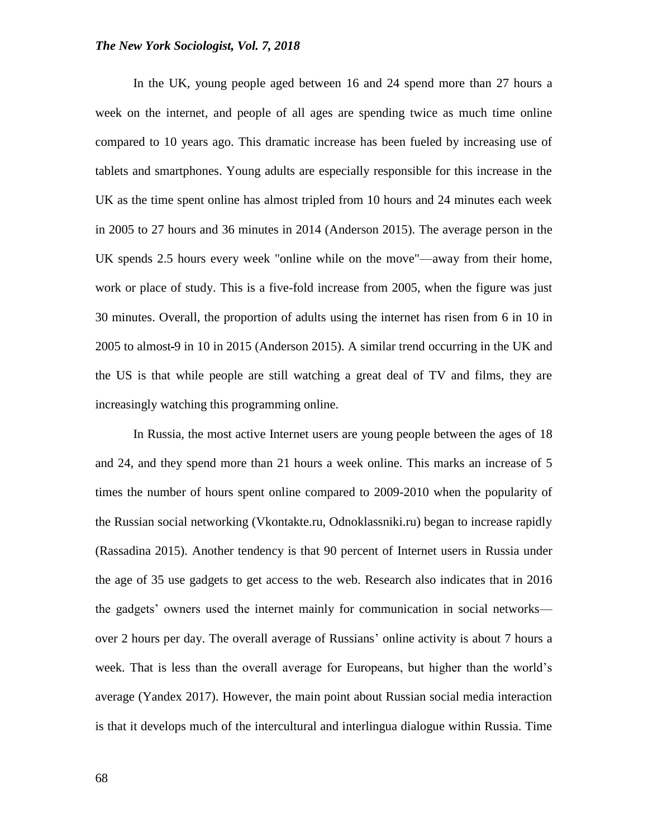In the UK, young people aged between 16 and 24 spend more than 27 hours a week on the internet, and people of all ages are spending twice as much time online compared to 10 years ago. This dramatic increase has been fueled by increasing use of tablets and smartphones. Young adults are especially responsible for this increase in the UK as the time spent online has almost tripled from 10 hours and 24 minutes each week in 2005 to 27 hours and 36 minutes in 2014 (Anderson 2015). The average person in the UK spends 2.5 hours every week "online while on the move"—away from their home, work or place of study. This is a five-fold increase from 2005, when the figure was just 30 minutes. Overall, the proportion of adults using the internet has risen from 6 in 10 in 2005 to almost 9 in 10 in 2015 (Anderson 2015). A similar trend occurring in the UK and the US is that while people are still watching a great deal of TV and films, they are increasingly watching this programming online.

In Russia, the most active Internet users are young people between the ages of 18 and 24, and they spend more than 21 hours a week online. This marks an increase of 5 times the number of hours spent online compared to 2009-2010 when the popularity of the Russian social networking (Vkontakte.ru, Odnoklassniki.ru) began to increase rapidly (Rassadina 2015). Another tendency is that 90 percent of Internet users in Russia under the age of 35 use gadgets to get access to the web. Research also indicates that in 2016 the gadgets' owners used the internet mainly for communication in social networks over 2 hours per day. The overall average of Russians' online activity is about 7 hours a week. That is less than the overall average for Europeans, but higher than the world's average (Yandex 2017). However, the main point about Russian social media interaction is that it develops much of the intercultural and interlingua dialogue within Russia. Time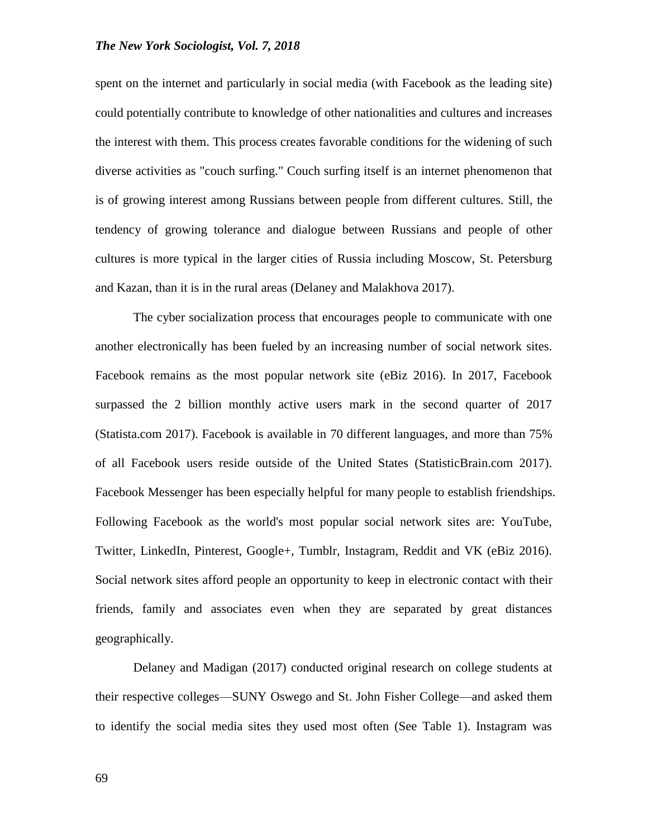spent on the internet and particularly in social media (with Facebook as the leading site) could potentially contribute to knowledge of other nationalities and cultures and increases the interest with them. This process creates favorable conditions for the widening of such diverse activities as "couch surfing." Couch surfing itself is an internet phenomenon that is of growing interest among Russians between people from different cultures. Still, the tendency of growing tolerance and dialogue between Russians and people of other cultures is more typical in the larger cities of Russia including Moscow, St. Petersburg and Kazan, than it is in the rural areas (Delaney and Malakhova 2017).

The cyber socialization process that encourages people to communicate with one another electronically has been fueled by an increasing number of social network sites. Facebook remains as the most popular network site (eBiz 2016). In 2017, Facebook surpassed the 2 billion monthly active users mark in the second quarter of 2017 (Statista.com 2017). Facebook is available in 70 different languages, and more than 75% of all Facebook users reside outside of the United States (StatisticBrain.com 2017). Facebook Messenger has been especially helpful for many people to establish friendships. Following Facebook as the world's most popular social network sites are: YouTube, Twitter, LinkedIn, Pinterest, Google+, Tumblr, Instagram, Reddit and VK (eBiz 2016). Social network sites afford people an opportunity to keep in electronic contact with their friends, family and associates even when they are separated by great distances geographically.

Delaney and Madigan (2017) conducted original research on college students at their respective colleges—SUNY Oswego and St. John Fisher College—and asked them to identify the social media sites they used most often (See Table 1). Instagram was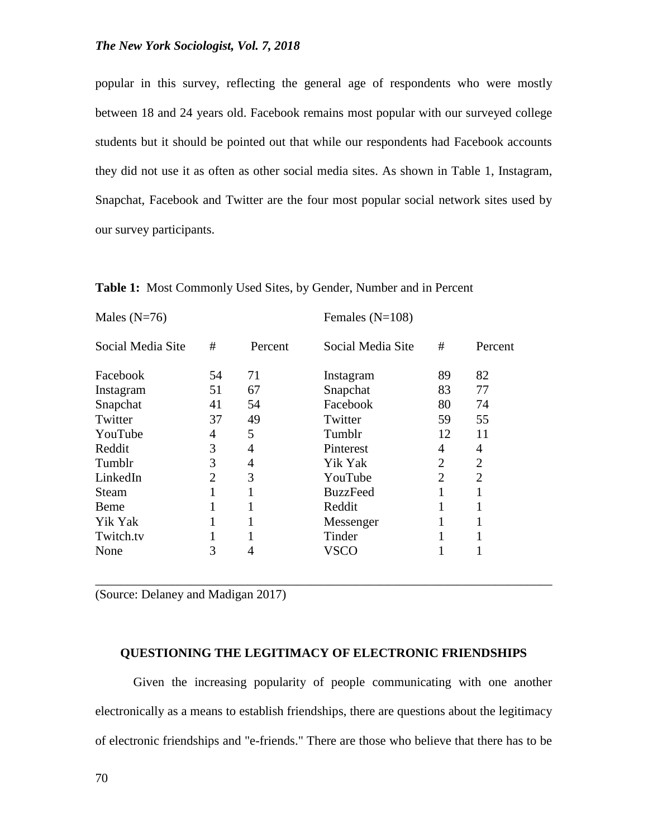popular in this survey, reflecting the general age of respondents who were mostly between 18 and 24 years old. Facebook remains most popular with our surveyed college students but it should be pointed out that while our respondents had Facebook accounts they did not use it as often as other social media sites. As shown in Table 1, Instagram, Snapchat, Facebook and Twitter are the four most popular social network sites used by our survey participants.

| Males $(N=76)$    |                |         | Females $(N=108)$ |    |                |
|-------------------|----------------|---------|-------------------|----|----------------|
| Social Media Site | #              | Percent | Social Media Site | #  | Percent        |
| Facebook          | 54             | 71      | Instagram         | 89 | 82             |
| Instagram         | 51             | 67      | Snapchat          | 83 | 77             |
| Snapchat          | 41             | 54      | Facebook          | 80 | 74             |
| Twitter           | 37             | 49      | Twitter           | 59 | 55             |
| YouTube           | 4              | 5       | Tumblr            | 12 | 11             |
| Reddit            | 3              | 4       | Pinterest         | 4  | 4              |
| Tumblr            | 3              | 4       | Yik Yak           | 2  | $\overline{2}$ |
| LinkedIn          | $\overline{2}$ | 3       | YouTube           | 2  | $\overline{2}$ |
| Steam             | 1              | 1       | <b>BuzzFeed</b>   |    | 1              |
| Beme              | 1              |         | Reddit            | 1  | 1              |
| Yik Yak           | 1              | 1       | Messenger         |    | 1              |
| Twitch.tv         |                |         | Tinder            |    |                |
| None              | 3              | 4       | VSCO              |    |                |

**Table 1:** Most Commonly Used Sites, by Gender, Number and in Percent

(Source: Delaney and Madigan 2017)

### **QUESTIONING THE LEGITIMACY OF ELECTRONIC FRIENDSHIPS**

\_\_\_\_\_\_\_\_\_\_\_\_\_\_\_\_\_\_\_\_\_\_\_\_\_\_\_\_\_\_\_\_\_\_\_\_\_\_\_\_\_\_\_\_\_\_\_\_\_\_\_\_\_\_\_\_\_\_\_\_\_\_\_\_\_\_\_\_\_\_\_\_

Given the increasing popularity of people communicating with one another electronically as a means to establish friendships, there are questions about the legitimacy of electronic friendships and "e-friends." There are those who believe that there has to be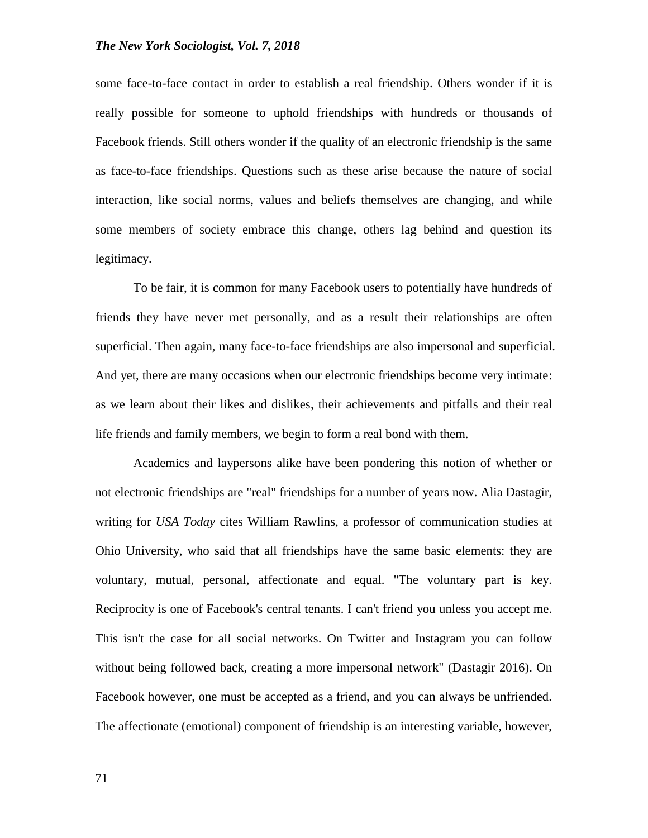some face-to-face contact in order to establish a real friendship. Others wonder if it is really possible for someone to uphold friendships with hundreds or thousands of Facebook friends. Still others wonder if the quality of an electronic friendship is the same as face-to-face friendships. Questions such as these arise because the nature of social interaction, like social norms, values and beliefs themselves are changing, and while some members of society embrace this change, others lag behind and question its legitimacy.

To be fair, it is common for many Facebook users to potentially have hundreds of friends they have never met personally, and as a result their relationships are often superficial. Then again, many face-to-face friendships are also impersonal and superficial. And yet, there are many occasions when our electronic friendships become very intimate: as we learn about their likes and dislikes, their achievements and pitfalls and their real life friends and family members, we begin to form a real bond with them.

Academics and laypersons alike have been pondering this notion of whether or not electronic friendships are "real" friendships for a number of years now. Alia Dastagir, writing for *USA Today* cites William Rawlins, a professor of communication studies at Ohio University, who said that all friendships have the same basic elements: they are voluntary, mutual, personal, affectionate and equal. "The voluntary part is key. Reciprocity is one of Facebook's central tenants. I can't friend you unless you accept me. This isn't the case for all social networks. On Twitter and Instagram you can follow without being followed back, creating a more impersonal network" (Dastagir 2016). On Facebook however, one must be accepted as a friend, and you can always be unfriended. The affectionate (emotional) component of friendship is an interesting variable, however,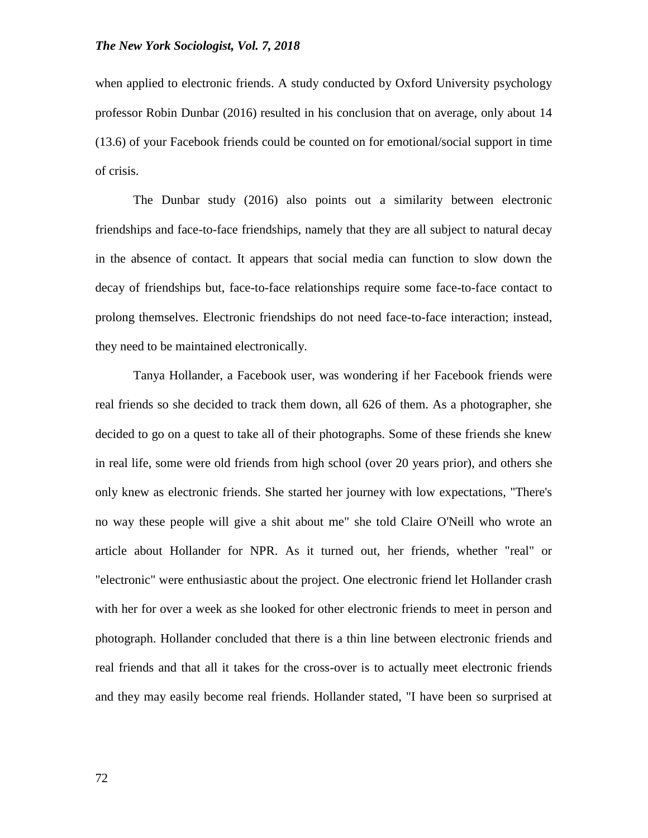when applied to electronic friends. A study conducted by Oxford University psychology professor Robin Dunbar (2016) resulted in his conclusion that on average, only about 14 (13.6) of your Facebook friends could be counted on for emotional/social support in time of crisis.

The Dunbar study (2016) also points out a similarity between electronic friendships and face-to-face friendships, namely that they are all subject to natural decay in the absence of contact. It appears that social media can function to slow down the decay of friendships but, face-to-face relationships require some face-to-face contact to prolong themselves. Electronic friendships do not need face-to-face interaction; instead, they need to be maintained electronically.

Tanya Hollander, a Facebook user, was wondering if her Facebook friends were real friends so she decided to track them down, all 626 of them. As a photographer, she decided to go on a quest to take all of their photographs. Some of these friends she knew in real life, some were old friends from high school (over 20 years prior), and others she only knew as electronic friends. She started her journey with low expectations, "There's no way these people will give a shit about me" she told Claire O'Neill who wrote an article about Hollander for NPR. As it turned out, her friends, whether "real" or "electronic" were enthusiastic about the project. One electronic friend let Hollander crash with her for over a week as she looked for other electronic friends to meet in person and photograph. Hollander concluded that there is a thin line between electronic friends and real friends and that all it takes for the cross-over is to actually meet electronic friends and they may easily become real friends. Hollander stated, "I have been so surprised at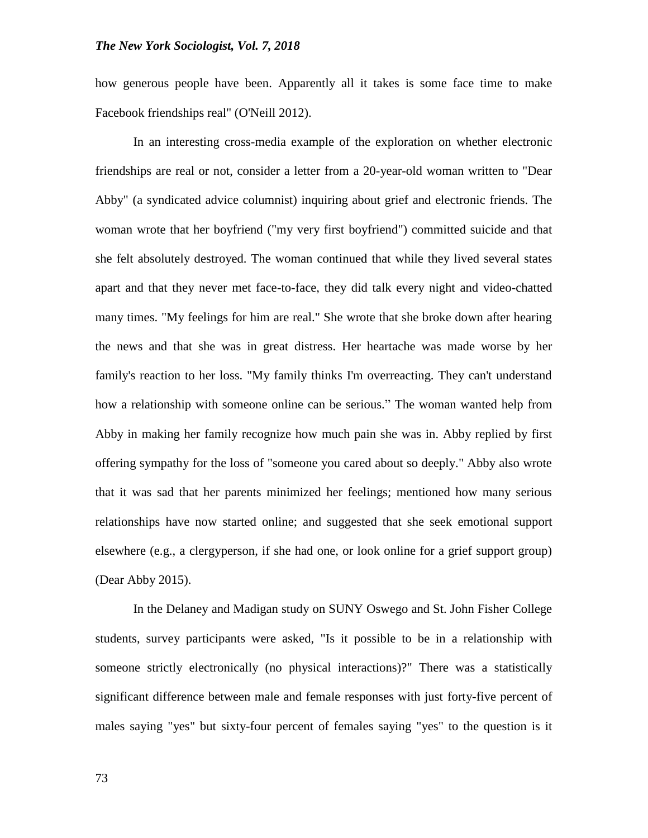how generous people have been. Apparently all it takes is some face time to make Facebook friendships real" (O'Neill 2012).

In an interesting cross-media example of the exploration on whether electronic friendships are real or not, consider a letter from a 20-year-old woman written to "Dear Abby" (a syndicated advice columnist) inquiring about grief and electronic friends. The woman wrote that her boyfriend ("my very first boyfriend") committed suicide and that she felt absolutely destroyed. The woman continued that while they lived several states apart and that they never met face-to-face, they did talk every night and video-chatted many times. "My feelings for him are real." She wrote that she broke down after hearing the news and that she was in great distress. Her heartache was made worse by her family's reaction to her loss. "My family thinks I'm overreacting. They can't understand how a relationship with someone online can be serious." The woman wanted help from Abby in making her family recognize how much pain she was in. Abby replied by first offering sympathy for the loss of "someone you cared about so deeply." Abby also wrote that it was sad that her parents minimized her feelings; mentioned how many serious relationships have now started online; and suggested that she seek emotional support elsewhere (e.g., a clergyperson, if she had one, or look online for a grief support group) (Dear Abby 2015).

In the Delaney and Madigan study on SUNY Oswego and St. John Fisher College students, survey participants were asked, "Is it possible to be in a relationship with someone strictly electronically (no physical interactions)?" There was a statistically significant difference between male and female responses with just forty-five percent of males saying "yes" but sixty-four percent of females saying "yes" to the question is it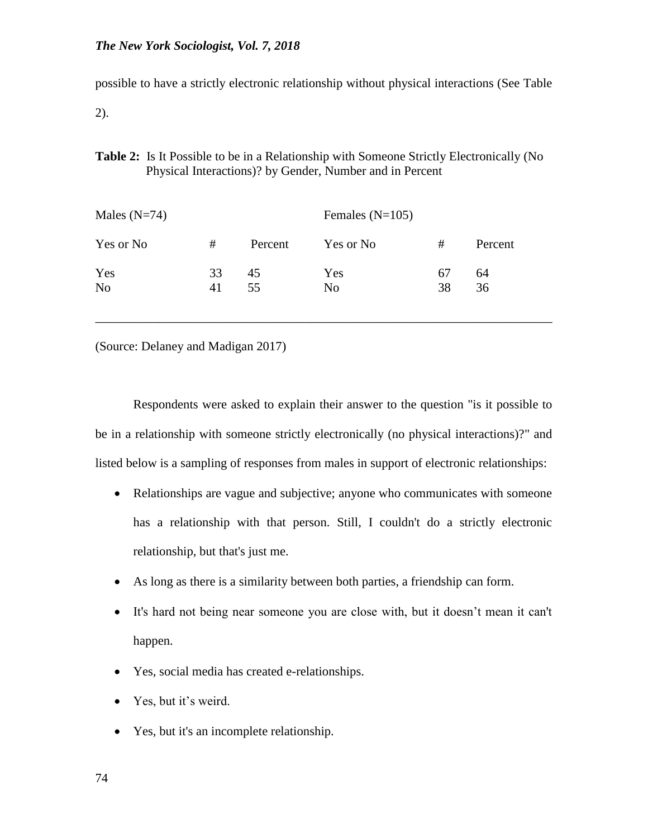possible to have a strictly electronic relationship without physical interactions (See Table

2).

**Table 2:** Is It Possible to be in a Relationship with Someone Strictly Electronically (No Physical Interactions)? by Gender, Number and in Percent

| Males $(N=74)$        |          |          | Females $(N=105)$     |          |          |
|-----------------------|----------|----------|-----------------------|----------|----------|
| Yes or No             | #        | Percent  | Yes or No             | #        | Percent  |
| Yes<br>N <sub>0</sub> | 33<br>41 | 45<br>55 | Yes<br>N <sub>0</sub> | 67<br>38 | 64<br>36 |

(Source: Delaney and Madigan 2017)

Respondents were asked to explain their answer to the question "is it possible to be in a relationship with someone strictly electronically (no physical interactions)?" and listed below is a sampling of responses from males in support of electronic relationships:

\_\_\_\_\_\_\_\_\_\_\_\_\_\_\_\_\_\_\_\_\_\_\_\_\_\_\_\_\_\_\_\_\_\_\_\_\_\_\_\_\_\_\_\_\_\_\_\_\_\_\_\_\_\_\_\_\_\_\_\_\_\_\_\_\_\_\_\_\_\_\_\_

- Relationships are vague and subjective; anyone who communicates with someone has a relationship with that person. Still, I couldn't do a strictly electronic relationship, but that's just me.
- As long as there is a similarity between both parties, a friendship can form.
- It's hard not being near someone you are close with, but it doesn't mean it can't happen.
- Yes, social media has created e-relationships.
- Yes, but it's weird.
- Yes, but it's an incomplete relationship.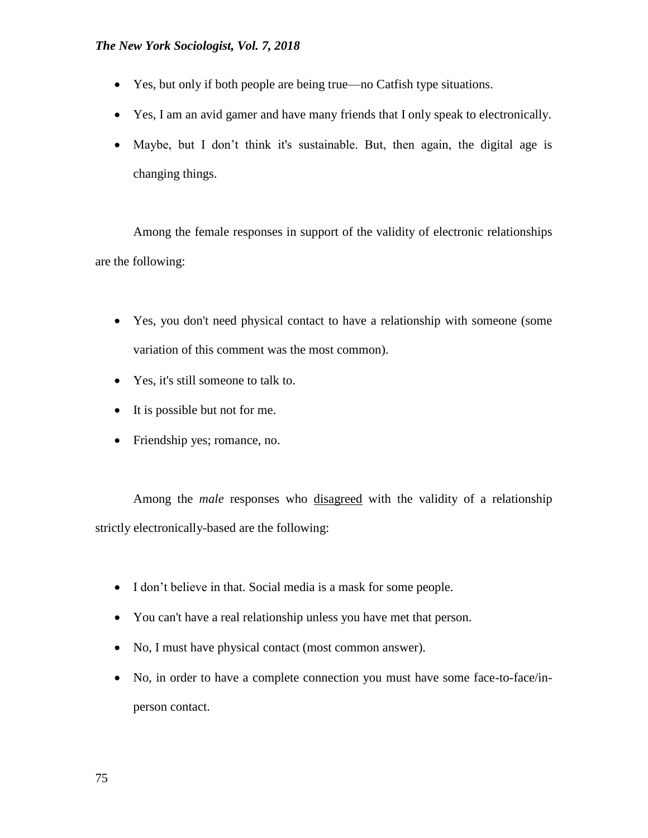- Yes, but only if both people are being true—no Catfish type situations.
- Yes, I am an avid gamer and have many friends that I only speak to electronically.
- Maybe, but I don't think it's sustainable. But, then again, the digital age is changing things.

Among the female responses in support of the validity of electronic relationships are the following:

- Yes, you don't need physical contact to have a relationship with someone (some variation of this comment was the most common).
- Yes, it's still someone to talk to.
- It is possible but not for me.
- Friendship yes; romance, no.

Among the *male* responses who disagreed with the validity of a relationship strictly electronically-based are the following:

- I don't believe in that. Social media is a mask for some people.
- You can't have a real relationship unless you have met that person.
- No, I must have physical contact (most common answer).
- No, in order to have a complete connection you must have some face-to-face/inperson contact.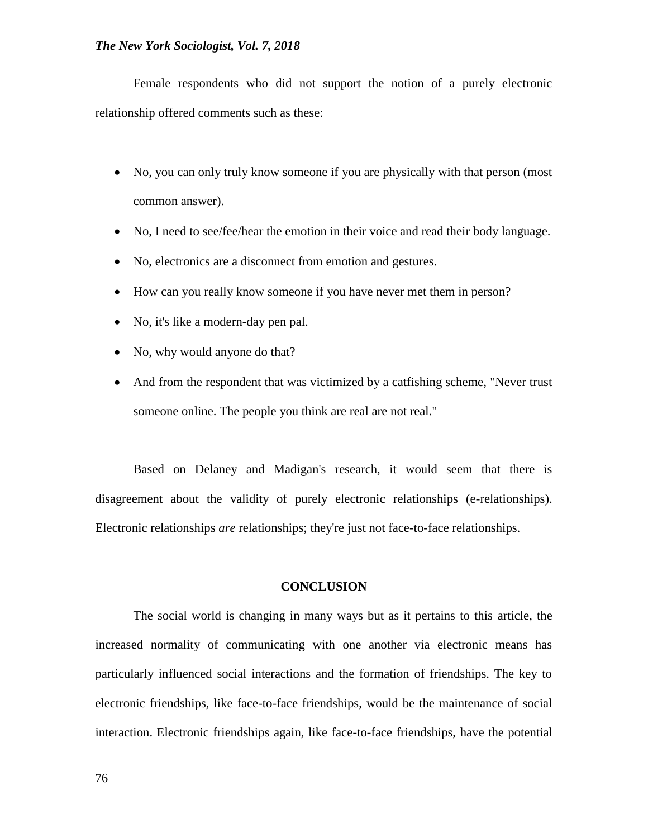Female respondents who did not support the notion of a purely electronic relationship offered comments such as these:

- No, you can only truly know someone if you are physically with that person (most common answer).
- No, I need to see/fee/hear the emotion in their voice and read their body language.
- No, electronics are a disconnect from emotion and gestures.
- How can you really know someone if you have never met them in person?
- No, it's like a modern-day pen pal.
- No, why would anyone do that?
- And from the respondent that was victimized by a catfishing scheme, "Never trust" someone online. The people you think are real are not real."

Based on Delaney and Madigan's research, it would seem that there is disagreement about the validity of purely electronic relationships (e-relationships). Electronic relationships *are* relationships; they're just not face-to-face relationships.

#### **CONCLUSION**

The social world is changing in many ways but as it pertains to this article, the increased normality of communicating with one another via electronic means has particularly influenced social interactions and the formation of friendships. The key to electronic friendships, like face-to-face friendships, would be the maintenance of social interaction. Electronic friendships again, like face-to-face friendships, have the potential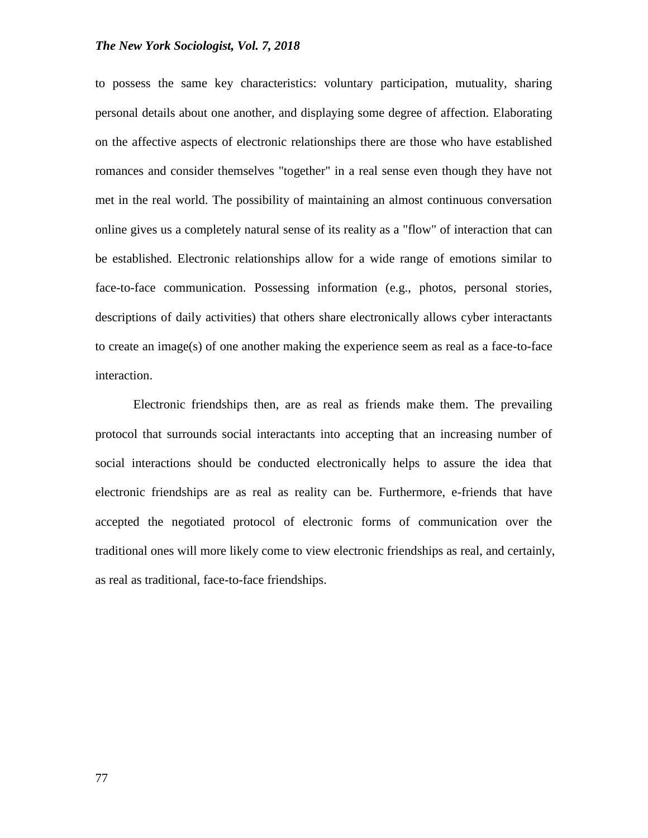to possess the same key characteristics: voluntary participation, mutuality, sharing personal details about one another, and displaying some degree of affection. Elaborating on the affective aspects of electronic relationships there are those who have established romances and consider themselves "together" in a real sense even though they have not met in the real world. The possibility of maintaining an almost continuous conversation online gives us a completely natural sense of its reality as a "flow" of interaction that can be established. Electronic relationships allow for a wide range of emotions similar to face-to-face communication. Possessing information (e.g., photos, personal stories, descriptions of daily activities) that others share electronically allows cyber interactants to create an image(s) of one another making the experience seem as real as a face-to-face interaction.

Electronic friendships then, are as real as friends make them. The prevailing protocol that surrounds social interactants into accepting that an increasing number of social interactions should be conducted electronically helps to assure the idea that electronic friendships are as real as reality can be. Furthermore, e-friends that have accepted the negotiated protocol of electronic forms of communication over the traditional ones will more likely come to view electronic friendships as real, and certainly, as real as traditional, face-to-face friendships.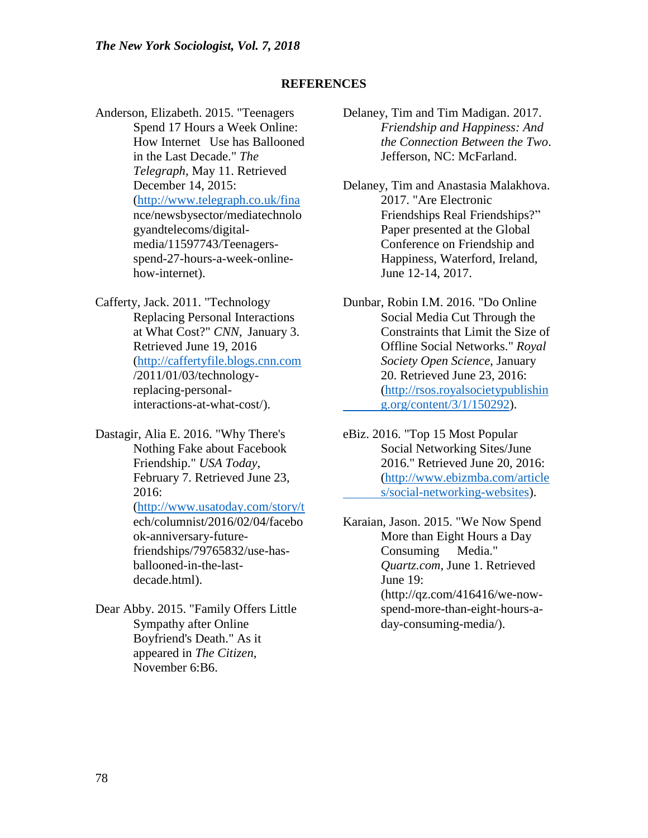## **REFERENCES**

Anderson, Elizabeth. 2015. "Teenagers Spend 17 Hours a Week Online: How Internet Use has Ballooned in the Last Decade." *The Telegraph*, May 11. Retrieved December 14, 2015: [\(http://www.telegraph.co.uk/fina](http://www.telegraph.co.uk/fina) nce/newsbysector/mediatechnolo gyandtelecoms/digitalmedia/11597743/Teenagersspend-27-hours-a-week-onlinehow-internet).

Cafferty, Jack. 2011. "Technology Replacing Personal Interactions at What Cost?" *CNN*, January 3. Retrieved June 19, 2016 [\(http://caffertyfile.blogs.cnn.com](http://caffertyfile.blogs.cnn.com/) /2011/01/03/technologyreplacing-personalinteractions-at-what-cost/).

Dastagir, Alia E. 2016. "Why There's Nothing Fake about Facebook Friendship." *USA Today*, February 7. Retrieved June 23, 2016: [\(http://www.usatoday.com/story/t](http://www.usatoday.com/story/t) ech/columnist/2016/02/04/facebo ok-anniversary-futurefriendships/79765832/use-hasballooned-in-the-lastdecade.html).

Dear Abby. 2015. "Family Offers Little Sympathy after Online Boyfriend's Death." As it appeared in *The Citizen*, November 6:B6.

- Delaney, Tim and Tim Madigan. 2017. *Friendship and Happiness: And the Connection Between the Two*. Jefferson, NC: McFarland.
- Delaney, Tim and Anastasia Malakhova. 2017. "Are Electronic Friendships Real Friendships?" Paper presented at the Global Conference on Friendship and Happiness, Waterford, Ireland, June 12-14, 2017.
- Dunbar, Robin I.M. 2016. "Do Online Social Media Cut Through the Constraints that Limit the Size of Offline Social Networks." *Royal Society Open Science*, January 20. Retrieved June 23, 2016: (http://rsos.royalsocietypublishin g.org/content/3/1/150292).

eBiz. 2016. "Top 15 Most Popular Social Networking Sites/June 2016." Retrieved June 20, 2016: [\(http://www.ebizmba.com/article](http://www.ebizmba.com/articles/social-networking-websites) [s/social-networking-websites\)](http://www.ebizmba.com/articles/social-networking-websites).

Karaian, Jason. 2015. "We Now Spend More than Eight Hours a Day Consuming Media." *Quartz.com*, June 1. Retrieved June 19: (http://qz.com/416416/we-nowspend-more-than-eight-hours-aday-consuming-media/).